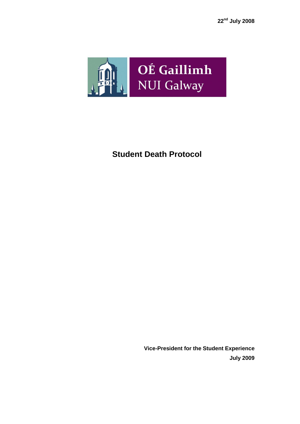

# **Student Death Protocol**

**Vice-President for the Student Experience July 2009**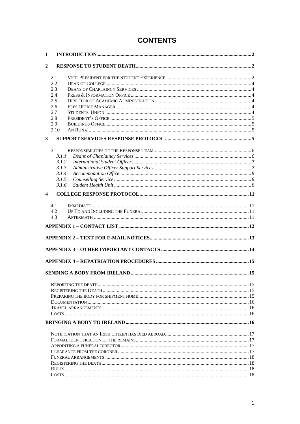# **CONTENTS**

| 1            |  |  |  |
|--------------|--|--|--|
| 2            |  |  |  |
|              |  |  |  |
| 2.1          |  |  |  |
| 2.2          |  |  |  |
| 2.3          |  |  |  |
| 2.4          |  |  |  |
| 2.5          |  |  |  |
| 2.6          |  |  |  |
| 2.7          |  |  |  |
| 2.8          |  |  |  |
| 2.9          |  |  |  |
| 2.10         |  |  |  |
| $\mathbf{3}$ |  |  |  |
|              |  |  |  |
| 3.1<br>3.1.1 |  |  |  |
| 3.1.2        |  |  |  |
| 3.1.3        |  |  |  |
| 3.1.4        |  |  |  |
| 3.1.5        |  |  |  |
| 3.1.6        |  |  |  |
|              |  |  |  |
| 4            |  |  |  |
| 4.1          |  |  |  |
| 4.2          |  |  |  |
| 4.3          |  |  |  |
|              |  |  |  |
|              |  |  |  |
|              |  |  |  |
|              |  |  |  |
|              |  |  |  |
|              |  |  |  |
|              |  |  |  |
|              |  |  |  |
|              |  |  |  |
|              |  |  |  |
|              |  |  |  |
|              |  |  |  |
|              |  |  |  |
|              |  |  |  |
|              |  |  |  |
|              |  |  |  |
|              |  |  |  |
|              |  |  |  |
|              |  |  |  |
|              |  |  |  |
|              |  |  |  |
|              |  |  |  |
|              |  |  |  |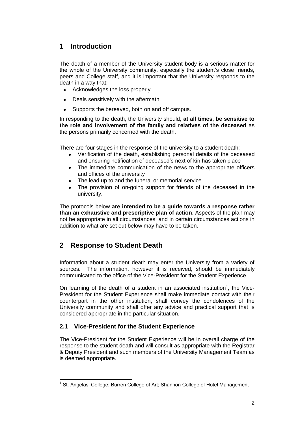# <span id="page-2-0"></span>**1 Introduction**

The death of a member of the University student body is a serious matter for the whole of the University community, especially the student's close friends, peers and College staff, and it is important that the University responds to the death in a way that:

- Acknowledges the loss properly
- Deals sensitively with the aftermath  $\bullet$
- Supports the bereaved, both on and off campus.

In responding to the death, the University should, **at all times, be sensitive to the role and involvement of the family and relatives of the deceased** as the persons primarily concerned with the death.

There are four stages in the response of the university to a student death:

- Verification of the death, establishing personal details of the deceased and ensuring notification of deceased's next of kin has taken place
- The immediate communication of the news to the appropriate officers and offices of the university
- The lead up to and the funeral or memorial service
- The provision of on-going support for friends of the deceased in the university.

The protocols below **are intended to be a guide towards a response rather than an exhaustive and prescriptive plan of action**. Aspects of the plan may not be appropriate in all circumstances, and in certain circumstances actions in addition to what are set out below may have to be taken.

# <span id="page-2-1"></span>**2 Response to Student Death**

Information about a student death may enter the University from a variety of sources. The information, however it is received, should be immediately communicated to the office of the Vice-President for the Student Experience.

On learning of the death of a student in an associated institution<sup>1</sup>, the Vice-President for the Student Experience shall make immediate contact with their counterpart in the other institution, shall convey the condolences of the University community and shall offer any advice and practical support that is considered appropriate in the particular situation.

## <span id="page-2-2"></span>**2.1 Vice-President for the Student Experience**

The Vice-President for the Student Experience will be in overall charge of the response to the student death and will consult as appropriate with the Registrar & Deputy President and such members of the University Management Team as is deemed appropriate.

 <sup>1</sup> St. Angelas' College; Burren College of Art; Shannon College of Hotel Management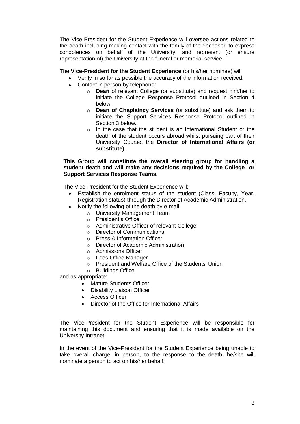The Vice-President for the Student Experience will oversee actions related to the death including making contact with the family of the deceased to express condolences on behalf of the University, and represent (or ensure representation of) the University at the funeral or memorial service.

#### The **Vice-President for the Student Experience** (or his/her nominee) will

- Verify in so far as possible the accuracy of the information received.
- Contact in person by telephone:
	- o **Dean** of relevant College (or substitute) and request him/her to initiate the College Response Protocol outlined in Section 4 below.
	- o **Dean of Chaplaincy Services** (or substitute) and ask them to initiate the Support Services Response Protocol outlined in Section 3 below.
	- o In the case that the student is an International Student or the death of the student occurs abroad whilst pursuing part of their University Course, the **Director of International Affairs (or substitute).**

#### **This Group will constitute the overall steering group for handling a student death and will make any decisions required by the College or Support Services Response Teams.**

The Vice-President for the Student Experience will:

- Establish the enrolment status of the student (Class, Faculty, Year, Registration status) through the Director of Academic Administration.
- Notify the following of the death by e-mail:
	- o University Management Team
	- o President's Office
	- o Administrative Officer of relevant College
	- o Director of Communications
	- o Press & Information Officer
	- o Director of Academic Administration
	- o Admissions Officer
	- o Fees Office Manager
	- o President and Welfare Office of the Students' Union
	- o Buildings Office

and as appropriate:

- Mature Students Officer
- $\bullet$ Disability Liaison Officer
- Access Officer
- Director of the Office for International Affairs

The Vice-President for the Student Experience will be responsible for maintaining this document and ensuring that it is made available on the University Intranet.

In the event of the Vice-President for the Student Experience being unable to take overall charge, in person, to the response to the death, he/she will nominate a person to act on his/her behalf.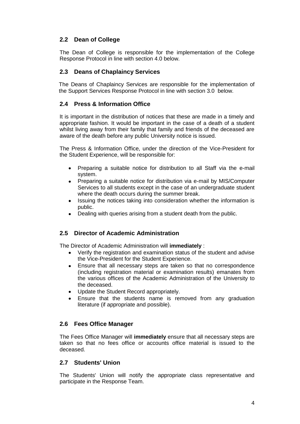## <span id="page-4-0"></span>**2.2 Dean of College**

The Dean of College is responsible for the implementation of the College Response Protocol in line with section 4.0 below.

## <span id="page-4-1"></span>**2.3 Deans of Chaplaincy Services**

The Deans of Chaplaincy Services are responsible for the implementation of the Support Services Response Protocol in line with section 3.0 below.

#### <span id="page-4-2"></span>**2.4 Press & Information Office**

It is important in the distribution of notices that these are made in a timely and appropriate fashion. It would be important in the case of a death of a student whilst living away from their family that family and friends of the deceased are aware of the death before any public University notice is issued.

The Press & Information Office, under the direction of the Vice-President for the Student Experience, will be responsible for:

- Preparing a suitable notice for distribution to all Staff via the e-mail system.
- Preparing a suitable notice for distribution via e-mail by MIS/Computer Services to all students except in the case of an undergraduate student where the death occurs during the summer break.
- Issuing the notices taking into consideration whether the information is public.
- Dealing with queries arising from a student death from the public.

## <span id="page-4-3"></span>**2.5 Director of Academic Administration**

The Director of Academic Administration will **immediately** :

- Verify the registration and examination status of the student and advise the Vice-President for the Student Experience.
- Ensure that all necessary steps are taken so that no correspondence (including registration material or examination results) emanates from the various offices of the Academic Administration of the University to the deceased.
- Update the Student Record appropriately.
- Ensure that the students name is removed from any graduation literature (if appropriate and possible).

## <span id="page-4-4"></span>**2.6 Fees Office Manager**

The Fees Office Manager will **immediately** ensure that all necessary steps are taken so that no fees office or accounts office material is issued to the deceased.

#### <span id="page-4-5"></span>**2.7 Students' Union**

The Students' Union will notify the appropriate class representative and participate in the Response Team.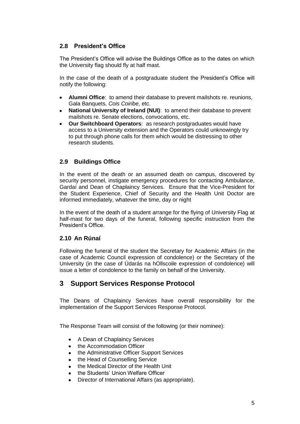## <span id="page-5-0"></span>**2.8 President's Office**

The President's Office will advise the Buildings Office as to the dates on which the University flag should fly at half mast.

In the case of the death of a postgraduate student the President's Office will notify the following:

- **Alumni Office**: to amend their database to prevent mailshots re. reunions, Gala Banquets, *Cois Coiribe,* etc.
- **National University of Ireland (NUI)**: to amend their database to prevent mailshots re. Senate elections, convocations, etc.
- **Our Switchboard Operators**: as research postgraduates would have access to a University extension and the Operators could unknowingly try to put through phone calls for them which would be distressing to other research students.

## <span id="page-5-1"></span>**2.9 Buildings Office**

In the event of the death or an assumed death on campus, discovered by security personnel, instigate emergency procedures for contacting Ambulance, Gardaí and Dean of Chaplaincy Services. Ensure that the Vice-President for the Student Experience, Chief of Security and the Health Unit Doctor are informed immediately, whatever the time, day or night

In the event of the death of a student arrange for the flying of University Flag at half-mast for two days of the funeral, following specific instruction from the President's Office.

## <span id="page-5-2"></span>**2.10 An Rúnaí**

Following the funeral of the student the Secretary for Academic Affairs (in the case of Academic Council expression of condolence) or the Secretary of the University (in the case of Údarás na hOllscoile expression of condolence) will issue a letter of condolence to the family on behalf of the University.

## <span id="page-5-3"></span>**3 Support Services Response Protocol**

The Deans of Chaplaincy Services have overall responsibility for the implementation of the Support Services Response Protocol.

The Response Team will consist of the following (or their nominee):

- A Dean of Chaplaincy Services
- the Accommodation Officer
- the Administrative Officer Support Services
- the Head of Counselling Service
- the Medical Director of the Health Unit
- the Students' Union Welfare Officer
- Director of International Affairs (as appropriate).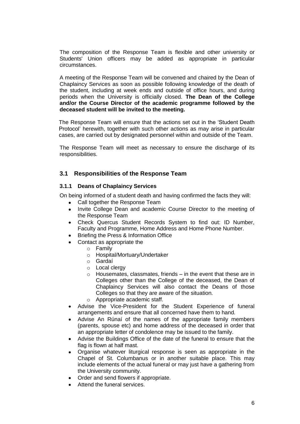The composition of the Response Team is flexible and other university or Students' Union officers may be added as appropriate in particular circumstances.

A meeting of the Response Team will be convened and chaired by the Dean of Chaplaincy Services as soon as possible following knowledge of the death of the student, including at week ends and outside of office hours, and during periods when the University is officially closed. **The Dean of the College and/or the Course Director of the academic programme followed by the deceased student will be invited to the meeting.**

The Response Team will ensure that the actions set out in the 'Student Death Protocol' herewith, together with such other actions as may arise in particular cases, are carried out by designated personnel within and outside of the Team.

The Response Team will meet as necessary to ensure the discharge of its responsibilities.

## <span id="page-6-0"></span>**3.1 Responsibilities of the Response Team**

#### <span id="page-6-1"></span>**3.1.1 Deans of Chaplaincy Services**

On being informed of a student death and having confirmed the facts they will:

- Call together the Response Team
- Invite College Dean and academic Course Director to the meeting of the Response Team
- Check Quercus Student Records System to find out: ID Number, Faculty and Programme, Home Address and Home Phone Number.
- Briefing the Press & Information Office
- Contact as appropriate the
	- o Family
	- o Hospital/Mortuary/Undertaker
	- o Gardaí
	- o Local clergy
	- $\circ$  Housemates, classmates, friends  $-$  in the event that these are in Colleges other than the College of the deceased, the Dean of Chaplaincy Services will also contact the Deans of those Colleges so that they are aware of the situation.
	- o Appropriate academic staff.
- Advise the Vice-President for the Student Experience of funeral arrangements and ensure that all concerned have them to hand.
- Advise An Rúnaí of the names of the appropriate family members (parents, spouse etc) and home address of the deceased in order that an appropriate letter of condolence may be issued to the family.
- Advise the Buildings Office of the date of the funeral to ensure that the flag is flown at half mast.
- Organise whatever liturgical response is seen as appropriate in the Chapel of St. Columbanus or in another suitable place. This may include elements of the actual funeral or may just have a gathering from the University community.
- Order and send flowers if appropriate.
- Attend the funeral services.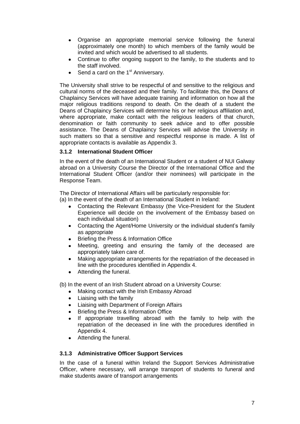- Organise an appropriate memorial service following the funeral (approximately one month) to which members of the family would be invited and which would be advertised to all students.
- Continue to offer ongoing support to the family, to the students and to the staff involved.
- $\bullet$  Send a card on the 1<sup>st</sup> Anniversary.

The University shall strive to be respectful of and sensitive to the religious and cultural norms of the deceased and their family. To facilitate this, the Deans of Chaplaincy Services will have adequate training and information on how all the major religious traditions respond to death. On the death of a student the Deans of Chaplaincy Services will determine his or her religious affiliation and, where appropriate, make contact with the religious leaders of that church, denomination or faith community to seek advice and to offer possible assistance. The Deans of Chaplaincy Services will advise the University in such matters so that a sensitive and respectful response is made. A list of appropriate contacts is available as Appendix 3.

#### <span id="page-7-0"></span>**3.1.2 International Student Officer**

In the event of the death of an International Student or a student of NUI Galway abroad on a University Course the Director of the International Office and the International Student Officer (and/or their nominees) will participate in the Response Team.

The Director of International Affairs will be particularly responsible for:

(a) In the event of the death of an International Student in Ireland:

- Contacting the Relevant Embassy (the Vice-President for the Student Experience will decide on the involvement of the Embassy based on each individual situation)
- Contacting the Agent/Home University or the individual student's family as appropriate
- Briefing the Press & Information Office
- Meeting, greeting and ensuring the family of the deceased are appropriately taken care of.
- Making appropriate arrangements for the repatriation of the deceased in line with the procedures identified in Appendix 4.
- Attending the funeral.

(b) In the event of an Irish Student abroad on a University Course:

- Making contact with the Irish Embassy Abroad
- Liaising with the family
- Liaising with Department of Foreign Affairs
- Briefing the Press & Information Office
- If appropriate travelling abroad with the family to help with the repatriation of the deceased in line with the procedures identified in Appendix 4.
- Attending the funeral.

#### <span id="page-7-1"></span>**3.1.3 Administrative Officer Support Services**

In the case of a funeral within Ireland the Support Services Administrative Officer, where necessary, will arrange transport of students to funeral and make students aware of transport arrangements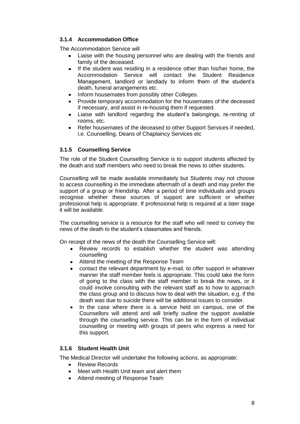## <span id="page-8-0"></span>**3.1.4 Accommodation Office**

The Accommodation Service will

- Liaise with the housing personnel who are dealing with the friends and family of the deceased.
- If the student was residing in a residence other than his/her home, the Accommodation Service will contact the Student Residence Management, landlord or landlady to inform them of the student's death, funeral arrangements etc.
- Inform housemates from possibly other Colleges.
- Provide temporary accommodation for the housemates of the deceased if necessary, and assist in re-housing them if requested.
- Liaise with landlord regarding the student's belongings, re-renting of rooms, etc.
- Refer housemates of the deceased to other Support Services if needed, i.e. Counselling, Deans of Chaplaincy Services etc

## <span id="page-8-1"></span>**3.1.5 Counselling Service**

The role of the Student Counselling Service is to support students affected by the death and staff members who need to break the news to other students.

Counselling will be made available immediately but Students may not choose to access counselling in the immediate aftermath of a death and may prefer the support of a group or friendship. After a period of time individuals and groups recognise whether these sources of support are sufficient or whether professional help is appropriate. If professional help is required at a later stage it will be available.

The counselling service is a resource for the staff who will need to convey the news of the death to the student's classmates and friends.

On receipt of the news of the death the Counselling Service will:

- Review records to establish whether the student was attending counselling
- Attend the meeting of the Response Team
- $\bullet$ contact the relevant department by e-mail, to offer support in whatever manner the staff member feels is appropriate. This could take the form of going to the class with the staff member to break the news, or it could involve consulting with the relevant staff as to how to approach the class group and to discuss how to deal with the situation, e.g. if the death was due to suicide there will be additional issues to consider.
- In the case where there is a service held on campus, one of the  $\bullet$ Counsellors will attend and will briefly outline the support available through the counselling service. This can be in the form of individual counselling or meeting with groups of peers who express a need for this support.

## <span id="page-8-2"></span>**3.1.6 Student Health Unit**

The Medical Director will undertake the following actions, as appropriate:

- Review Records
- Meet with Health Unit team and alert them
- Attend meeting of Response Team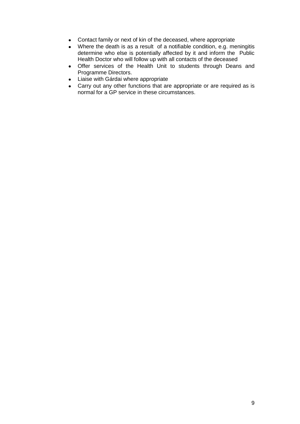- Contact family or next of kin of the deceased, where appropriate
- Where the death is as a result of a notifiable condition, e.g. meningitis determine who else is potentially affected by it and inform the Public Health Doctor who will follow up with all contacts of the deceased
- Offer services of the Health Unit to students through Deans and Programme Directors.
- Liaise with Gárdai where appropriate
- Carry out any other functions that are appropriate or are required as is normal for a GP service in these circumstances.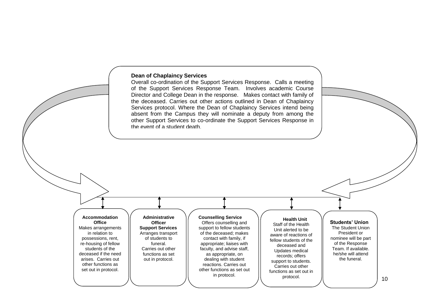#### **Dean of Chaplaincy Services**

Overall co-ordination of the Support Services Response. Calls a meeting of the Support Services Response Team. Involves academic Course Director and College Dean in the response. Makes contact with family of the deceased. Carries out other actions outlined in Dean of Chaplaincy Services protocol. Where the Dean of Chaplaincy Services intend being absent from the Campus they will nominate a deputy from among the other Support Services to co-ordinate the Support Services Response in the event of a student death.

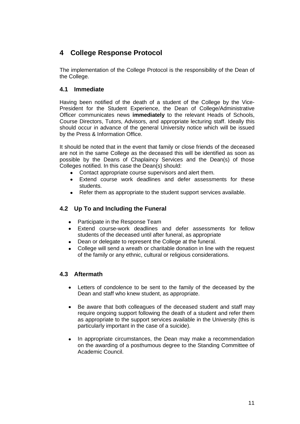# <span id="page-11-0"></span>**4 College Response Protocol**

The implementation of the College Protocol is the responsibility of the Dean of the College.

## <span id="page-11-1"></span>**4.1 Immediate**

Having been notified of the death of a student of the College by the Vice-President for the Student Experience, the Dean of College/Administrative Officer communicates news **immediately** to the relevant Heads of Schools, Course Directors, Tutors, Advisors, and appropriate lecturing staff. Ideally this should occur in advance of the general University notice which will be issued by the Press & Information Office.

It should be noted that in the event that family or close friends of the deceased are not in the same College as the deceased this will be identified as soon as possible by the Deans of Chaplaincy Services and the Dean(s) of those Colleges notified. In this case the Dean(s) should:

- Contact appropriate course supervisors and alert them.  $\bullet$
- Extend course work deadlines and defer assessments for these students.
- Refer them as appropriate to the student support services available.

## <span id="page-11-2"></span>**4.2 Up To and Including the Funeral**

- Participate in the Response Team
- Extend course-work deadlines and defer assessments for fellow students of the deceased until after funeral, as appropriate
- Dean or delegate to represent the College at the funeral.
- College will send a wreath or charitable donation in line with the request of the family or any ethnic, cultural or religious considerations.

## <span id="page-11-3"></span>**4.3 Aftermath**

- Letters of condolence to be sent to the family of the deceased by the Dean and staff who knew student, as appropriate.
- Be aware that both colleagues of the deceased student and staff may require ongoing support following the death of a student and refer them as appropriate to the support services available in the University (this is particularly important in the case of a suicide).
- In appropriate circumstances, the Dean may make a recommendation on the awarding of a posthumous degree to the Standing Committee of Academic Council.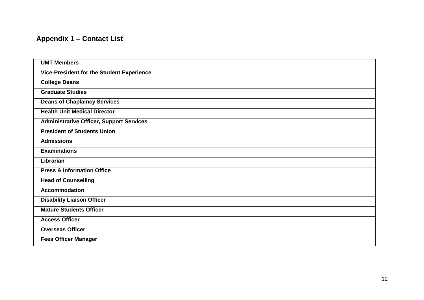## **Appendix 1 – Contact List**

<span id="page-12-0"></span>

| <b>UMT Members</b>                              |  |
|-------------------------------------------------|--|
| Vice-President for the Student Experience       |  |
| <b>College Deans</b>                            |  |
| <b>Graduate Studies</b>                         |  |
| <b>Deans of Chaplaincy Services</b>             |  |
| <b>Health Unit Medical Director</b>             |  |
| <b>Administrative Officer, Support Services</b> |  |
| <b>President of Students Union</b>              |  |
| <b>Admissions</b>                               |  |
| <b>Examinations</b>                             |  |
| Librarian                                       |  |
| <b>Press &amp; Information Office</b>           |  |
| <b>Head of Counselling</b>                      |  |
| <b>Accommodation</b>                            |  |
| <b>Disability Liaison Officer</b>               |  |
| <b>Mature Students Officer</b>                  |  |
| <b>Access Officer</b>                           |  |
| <b>Overseas Officer</b>                         |  |
| <b>Fees Officer Manager</b>                     |  |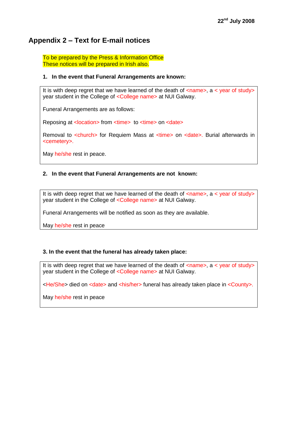## <span id="page-13-0"></span>**Appendix 2 – Text for E-mail notices**

To be prepared by the Press & Information Office These notices will be prepared in Irish also.

#### **1. In the event that Funeral Arrangements are known:**

It is with deep regret that we have learned of the death of  $\langle$ name>, a  $\langle$  year of study> year student in the College of <College name> at NUI Galway.

Funeral Arrangements are as follows:

Reposing at <location> from <time> to <time> on <date>

Removal to <church> for Requiem Mass at <time> on <date>. Burial afterwards in <cemetery>.

May he/she rest in peace.

#### **2. In the event that Funeral Arrangements are not known:**

It is with deep regret that we have learned of the death of  $\langle$ name>, a  $\langle$  year of study> year student in the College of <College name> at NUI Galway.

Funeral Arrangements will be notified as soon as they are available.

May he/she rest in peace

#### **3. In the event that the funeral has already taken place:**

It is with deep regret that we have learned of the death of  $\leq$ name>, a  $\leq$  year of study> year student in the College of <College name> at NUI Galway.

<he/She> died on <date> and <his/her> funeral has already taken place in <County>.

May he/she rest in peace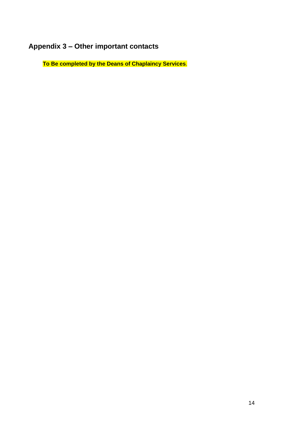# <span id="page-14-0"></span>**Appendix 3 – Other important contacts**

**To Be completed by the Deans of Chaplaincy Services**.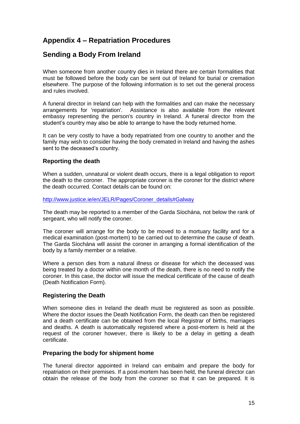# <span id="page-15-0"></span>**Appendix 4 – Repatriation Procedures**

## <span id="page-15-1"></span>**Sending a Body From Ireland**

When someone from another country dies in Ireland there are certain formalities that must be followed before the body can be sent out of Ireland for burial or cremation elsewhere. The purpose of the following information is to set out the general process and rules involved.

A funeral director in Ireland can help with the formalities and can make the necessary arrangements for 'repatriation'. Assistance is also available from the relevant embassy representing the person's country in Ireland. A funeral director from the student's country may also be able to arrange to have the body returned home.

It can be very costly to have a body repatriated from one country to another and the family may wish to consider having the body cremated in Ireland and having the ashes sent to the deceased's country.

## <span id="page-15-2"></span>**Reporting the death**

When a sudden, unnatural or violent death occurs, there is a legal obligation to report the death to the coroner. The appropriate coroner is the coroner for the district where the death occurred. Contact details can be found on:

[http://www.justice.ie/en/JELR/Pages/Coroner\\_details#Galway](http://www.justice.ie/en/JELR/Pages/Coroner_details#Galway)

The death may be reported to a member of the Garda Síochána, not below the rank of sergeant, who will notify the coroner.

The coroner will arrange for the body to be moved to a mortuary facility and for a medical examination (post-mortem) to be carried out to determine the cause of death. The Garda Síochána will assist the coroner in arranging a formal identification of the body by a family member or a relative.

Where a person dies from a natural illness or disease for which the deceased was being treated by a doctor within one month of the death, there is no need to notify the coroner. In this case, the doctor will issue the medical certificate of the cause of death (Death Notification Form).

## <span id="page-15-3"></span>**Registering the Death**

When someone dies in Ireland the death must be registered as soon as possible. Where the doctor issues the Death Notification Form, the death can then be registered and a death certificate can be obtained from the local Registrar of births, marriages and deaths. A death is automatically registered where a post-mortem is held at the request of the coroner however, there is likely to be a delay in getting a death certificate.

#### <span id="page-15-4"></span>**Preparing the body for shipment home**

The funeral director appointed in Ireland can embalm and prepare the body for repatriation on their premises. If a post-mortem has been held, the funeral director can obtain the release of the body from the coroner so that it can be prepared. It is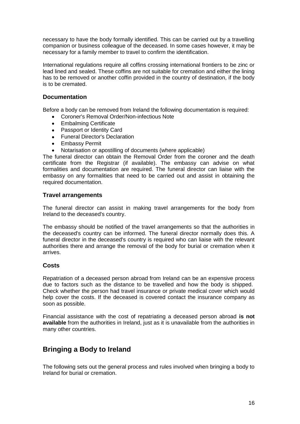necessary to have the body formally identified. This can be carried out by a travelling companion or business colleague of the deceased. In some cases however, it may be necessary for a family member to travel to confirm the identification.

International regulations require all coffins crossing international frontiers to be zinc or lead lined and sealed. These coffins are not suitable for cremation and either the lining has to be removed or another coffin provided in the country of destination, if the body is to be cremated.

#### <span id="page-16-0"></span>**Documentation**

Before a body can be removed from Ireland the following documentation is required:

- Coroner's Removal Order/Non-infectious Note
- Embalming Certificate
- Passport or Identity Card
- Funeral Director's Declaration
- **•** Embassy Permit
- Notarisation or apostilling of documents (where applicable)

The funeral director can obtain the Removal Order from the coroner and the death certificate from the Registrar (if available). The embassy can advise on what formalities and documentation are required. The funeral director can liaise with the embassy on any formalities that need to be carried out and assist in obtaining the required documentation.

#### <span id="page-16-1"></span>**Travel arrangements**

The funeral director can assist in making travel arrangements for the body from Ireland to the deceased's country.

The embassy should be notified of the travel arrangements so that the authorities in the deceased's country can be informed. The funeral director normally does this. A funeral director in the deceased's country is required who can liaise with the relevant authorities there and arrange the removal of the body for burial or cremation when it arrives.

#### <span id="page-16-2"></span>**Costs**

Repatriation of a deceased person abroad from Ireland can be an expensive process due to factors such as the distance to be travelled and how the body is shipped. Check whether the person had travel insurance or private medical cover which would help cover the costs. If the deceased is covered contact the insurance company as soon as possible.

Financial assistance with the cost of repatriating a deceased person abroad **is not available** from the authorities in Ireland, just as it is unavailable from the authorities in many other countries.

## <span id="page-16-3"></span>**Bringing a Body to Ireland**

The following sets out the general process and rules involved when bringing a body to Ireland for burial or cremation.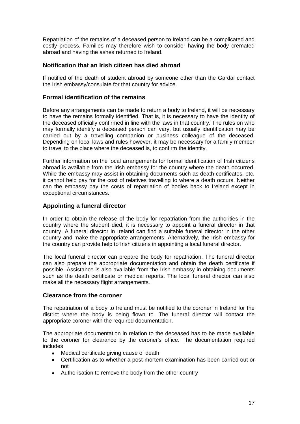Repatriation of the remains of a deceased person to Ireland can be a complicated and costly process. Families may therefore wish to consider having the body cremated abroad and having the ashes returned to Ireland.

#### <span id="page-17-0"></span>**Notification that an Irish citizen has died abroad**

If notified of the death of student abroad by someone other than the Gardai contact the Irish embassy/consulate for that country for advice.

#### <span id="page-17-1"></span>**Formal identification of the remains**

Before any arrangements can be made to return a body to Ireland, it will be necessary to have the remains formally identified. That is, it is necessary to have the identity of the deceased officially confirmed in line with the laws in that country. The rules on who may formally identify a deceased person can vary, but usually identification may be carried out by a travelling companion or business colleague of the deceased. Depending on local laws and rules however, it may be necessary for a family member to travel to the place where the deceased is, to confirm the identity.

Further information on the local arrangements for formal identification of Irish citizens abroad is available from the Irish embassy for the country where the death occurred. While the embassy may assist in obtaining documents such as death certificates, etc. it cannot help pay for the cost of relatives travelling to where a death occurs. Neither can the embassy pay the costs of repatriation of bodies back to Ireland except in exceptional circumstances.

#### <span id="page-17-2"></span>**Appointing a funeral director**

In order to obtain the release of the body for repatriation from the authorities in the country where the student died, it is necessary to appoint a funeral director in that country. A funeral director in Ireland can find a suitable funeral director in the other country and make the appropriate arrangements. Alternatively, the Irish embassy for the country can provide help to Irish citizens in appointing a local funeral director.

The local funeral director can prepare the body for repatriation. The funeral director can also prepare the appropriate documentation and obtain the death certificate if possible. Assistance is also available from the Irish embassy in obtaining documents such as the death certificate or medical reports. The local funeral director can also make all the necessary flight arrangements.

#### <span id="page-17-3"></span>**Clearance from the coroner**

The repatriation of a body to Ireland must be notified to the coroner in Ireland for the district where the body is being flown to. The funeral director will contact the appropriate coroner with the required documentation.

The appropriate documentation in relation to the deceased has to be made available to the coroner for clearance by the coroner's office. The documentation required includes

- Medical certificate giving cause of death
- Certification as to whether a post-mortem examination has been carried out or  $\bullet$ not
- Authorisation to remove the body from the other country